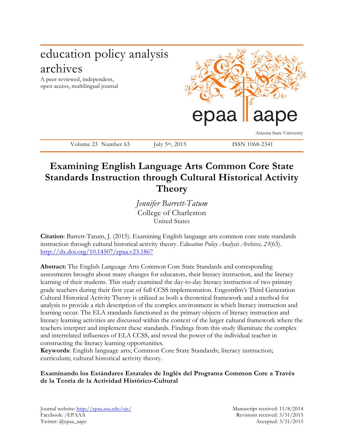

Volume 23 Number 63 July 5<sup>th</sup>, 2015 ISSN 1068-2341

# **Examining English Language Arts Common Core State Standards Instruction through Cultural Historical Activity Theory**

*Jennifer Barrett-Tatum* College of Charleston United States

**Citation**: Barrett-Tatum, J. (2015). Examining English language arts common core state standards instruction through cultural historical activity theory. *Education Policy Analysis Archives, 23*(63). http://dx.doi.org/10.14507/epaa.v23.1867

**Abstract:** The English Language Arts Common Core State Standards and corresponding assessments brought about many changes for educators, their literacy instruction, and the literacy learning of their students. This study examined the day-to-day literacy instruction of two primary grade teachers during their first year of full CCSS implementation. Engestrӧm's Third Generation Cultural Historical Activity Theory is utilized as both a theoretical framework and a method for analysis to provide a rich description of the complex environment in which literacy instruction and learning occur. The ELA standards functioned as the primary objects of literacy instruction and literacy learning activities are discussed within the context of the larger cultural framework where the teachers interpret and implement these standards. Findings from this study illuminate the complex and interrelated influences of ELA CCSS, and reveal the power of the individual teacher in constructing the literacy learning opportunities.

**Keywords**: English language arts; Common Core State Standards; literacy instruction; curriculum; cultural historical activity theory.

## **Examinando los Estándares Estatales de Inglés del Programa Common Core a Través de la Teoría de la Actividad Histórico-Cultural**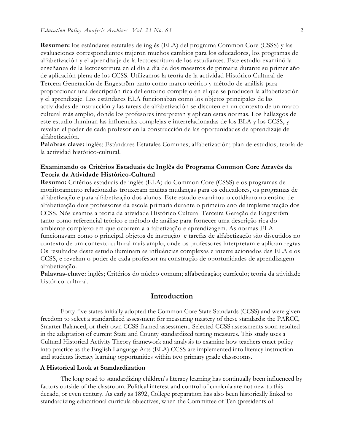**Resumen:** los estándares estatales de inglés (ELA) del programa Common Core (CSSS) y las evaluaciones correspondientes trajeron muchos cambios para los educadores, los programas de alfabetización y el aprendizaje de la lectoescritura de los estudiantes. Este estudio examinó la enseñanza de la lectoescritura en el día a día de dos maestros de primaria durante su primer año de aplicación plena de los CCSS. Utilizamos la teoría de la actividad Histórico Cultural de Tercera Generación de Engestrӧm tanto como marco teórico y método de análisis para proporcionar una descripción rica del entorno complejo en el que se producen la alfabetización y el aprendizaje. Los estándares ELA funcionaban como los objetos principales de las actividades de instrucción y las tareas de alfabetización se discuten en un contexto de un marco cultural más amplio, donde los profesores interpretan y aplican estas normas. Los hallazgos de este estudio iluminan las influencias complejas e interrelacionadas de los ELA y los CCSS, y revelan el poder de cada profesor en la construcción de las oportunidades de aprendizaje de alfabetización.

**Palabras clave:** inglés; Estándares Estatales Comunes; alfabetización; plan de estudios; teoría de la actividad histórico-cultural.

## **Examinando os Critérios Estaduais de Inglês do Programa Common Core Através da Teoria da Atividade Histórico-Cultural**

**Resumo:** Critérios estaduais de inglês (ELA) do Common Core (CSSS) e os programas de monitoramento relacionadas trouxeram muitas mudanças para os educadores, os programas de alfabetização e para alfabetização dos alunos. Este estudo examinou o cotidiano no ensino de alfabetização dois professores da escola primaria durante o primeiro ano de implementação dos CCSS. Nós usamos a teoria da atividade Histórico Cultural Terceira Geração de Engestrӧm tanto como referencial teórico e método de análise para fornecer uma descrição rica do ambiente complexo em que ocorrem a alfabetização e aprendizagem. As normas ELA funcionavam como o principal objetos de instrução e tarefas de alfabetização são discutidos no contexto de um contexto cultural mais amplo, onde os professores interpretam e aplicam regras. Os resultados deste estudo iluminam as influências complexas e interrelacionados das ELA e os CCSS, e revelam o poder de cada professor na construção de oportunidades de aprendizagem alfabetização.

**Palavras-chave:** inglês; Critérios do núcleo comum; alfabetização; currículo; teoria da atividade histórico-cultural.

## **Introduction**

Forty-five states initially adopted the Common Core State Standards (CCSS) and were given freedom to select a standardized assessment for measuring mastery of these standards: the PARCC, Smarter Balanced, or their own CCSS framed assessment. Selected CCSS assessments soon resulted in the adaptation of current State and County standardized testing measures. This study uses a Cultural Historical Activity Theory framework and analysis to examine how teachers enact policy into practice as the English Language Arts (ELA) CCSS are implemented into literacy instruction and students literacy learning opportunities within two primary grade classrooms.

#### **A Historical Look at Standardization**

The long road to standardizing children's literacy learning has continually been influenced by factors outside of the classroom. Political interest and control of curricula are not new to this decade, or even century. As early as 1892, College preparation has also been historically linked to standardizing educational curricula objectives, when the Committee of Ten (presidents of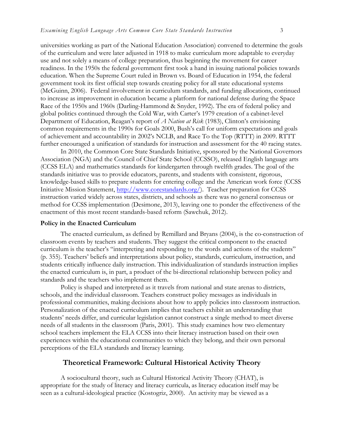universities working as part of the National Education Association) convened to determine the goals of the curriculum and were later adjusted in 1918 to make curriculum more adaptable to everyday use and not solely a means of college preparation, thus beginning the movement for career readiness. In the 1950s the federal government first took a hand in issuing national policies towards education. When the Supreme Court ruled in Brown vs. Board of Education in 1954, the federal government took its first official step towards creating policy for all state educational systems (McGuinn, 2006). Federal involvement in curriculum standards, and funding allocations, continued to increase as improvement in education became a platform for national defense during the Space Race of the 1950s and 1960s (Darling-Hammond & Snyder, 1992). The era of federal policy and global politics continued through the Cold War, with Carter's 1979 creation of a cabinet-level Department of Education, Reagan's report of *A Nation at Risk* (1983), Clinton's envisioning common requirements in the 1990s for Goals 2000, Bush's call for uniform expectations and goals of achievement and accountability in 2002's NCLB, and Race To the Top (RTTT) in 2009. RTTT further encouraged a unification of standards for instruction and assessment for the 40 racing states.

In 2010, the Common Core State Standards Initiative, sponsored by the National Governors Association (NGA) and the Council of Chief State School (CCSSO), released English language arts (CCSS ELA) and mathematics standards for kindergarten through twelfth grades. The goal of the standards initiative was to provide educators, parents, and students with consistent, rigorous, knowledge-based skills to prepare students for entering college and the American work force (CCSS Initiative Mission Statement, http://www.corestandards.org/). Teacher preparation for CCSS instruction varied widely across states, districts, and schools as there was no general consensus or method for CCSS implementation (Desimone, 2013), leaving one to ponder the effectiveness of the enactment of this most recent standards-based reform (Sawchuk, 2012).

## **Policy in the Enacted Curriculum**

The enacted curriculum, as defined by Remillard and Bryans (2004), is the co-construction of classroom events by teachers and students. They suggest the critical component to the enacted curriculum is the teacher's "interpreting and responding to the words and actions of the students" (p. 355). Teachers' beliefs and interpretations about policy, standards, curriculum, instruction, and students critically influence daily instruction. This individualization of standards instruction implies the enacted curriculum is, in part, a product of the bi-directional relationship between policy and standards and the teachers who implement them.

Policy is shaped and interpreted as it travels from national and state arenas to districts, schools, and the individual classroom. Teachers construct policy messages as individuals in professional communities, making decisions about how to apply policies into classroom instruction. Personalization of the enacted curriculum implies that teachers exhibit an understanding that students' needs differ, and curricular legislation cannot construct a single method to meet diverse needs of all students in the classroom (Paris, 2001). This study examines how two elementary school teachers implement the ELA CCSS into their literacy instruction based on their own experiences within the educational communities to which they belong, and their own personal perceptions of the ELA standards and literacy learning.

## **Theoretical Framework: Cultural Historical Activity Theory**

A sociocultural theory, such as Cultural Historical Activity Theory (CHAT), is appropriate for the study of literacy and literacy curricula, as literacy education itself may be seen as a cultural-ideological practice (Kostogriz, 2000). An activity may be viewed as a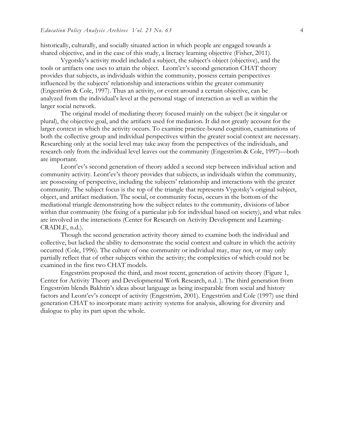historically, culturally, and socially situated action in which people are engaged towards a shared objective, and in the case of this study, a literacy learning objective (Fisher, 2011).

Vygotsky's activity model included a subject, the subject's object (objective), and the tools or artifacts one uses to attain the object. Leont'ev's second generation CHAT theory provides that subjects, as individuals within the community, possess certain perspectives influenced by the subjects' relationship and interactions within the greater community (Engeström & Cole, 1997). Thus an activity, or event around a certain objective, can be analyzed from the individual's level at the personal stage of interaction as well as within the larger social network.

The original model of mediating theory focused mainly on the subject (be it singular or plural), the objective goal, and the artifacts used for mediation. It did not greatly account for the larger context in which the activity occurs. To examine practice-bound cognition, examinations of both the collective group and individual perspectives within the greater social context are necessary. Researching only at the social level may take away from the perspectives of the individuals, and research only from the individual level leaves out the community (Engeström & Cole, 1997)—both are important.

Leont'ev's second generation of theory added a second step between individual action and community activity. Leont'ev's theory provides that subjects, as individuals within the community, are possessing of perspective, including the subjects' relationship and interactions with the greater community. The subject focus is the top of the triangle that represents Vygotsky's original subject, object, and artifact mediation. The social, or community focus, occurs in the bottom of the mediational triangle demonstrating how the subject relates to the community, divisions of labor within that community (the fixing of a particular job for individual based on society), and what rules are involved in the interactions (Center for Research on Activity Development and Learning-CRADLE, n.d.).

Though the second generation activity theory aimed to examine both the individual and collective, but lacked the ability to demonstrate the social context and culture in which the activity occurred (Cole, 1996). The culture of one community or individual may, may not, or may only partially reflect that of other subjects within the activity; the complexities of which could not be examined in the first two CHAT models.

Engeström proposed the third, and most recent, generation of activity theory (Figure 1, Center for Activity Theory and Developmental Work Research, n.d. ). The third generation from Engeström blends Bakhtin's ideas about language as being inseparable from social and history factors and Leont'ev's concept of activity (Engeström, 2001). Engeström and Cole (1997) use third generation CHAT to incorporate many activity systems for analysis, allowing for diversity and dialogue to play its part upon the whole.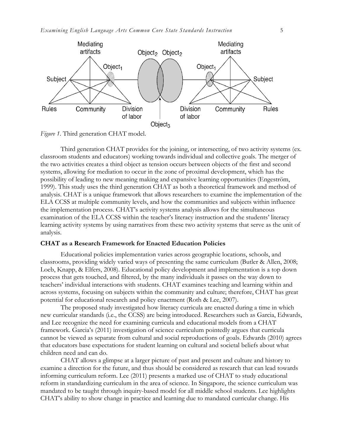

*Figure 1*. Third generation CHAT model.

Third generation CHAT provides for the joining, or intersecting, of two activity systems (ex. classroom students and educators) working towards individual and collective goals. The merger of the two activities creates a third object as tension occurs between objects of the first and second systems, allowing for mediation to occur in the zone of proximal development, which has the possibility of leading to new meaning making and expansive learning opportunities (Engeström, 1999). This study uses the third generation CHAT as both a theoretical framework and method of analysis. CHAT is a unique framework that allows researchers to examine the implementation of the ELA CCSS at multiple community levels, and how the communities and subjects within influence the implementation process. CHAT's activity systems analysis allows for the simultaneous examination of the ELA CCSS within the teacher's literacy instruction and the students' literacy learning activity systems by using narratives from these two activity systems that serve as the unit of analysis.

#### **CHAT as a Research Framework for Enacted Education Policies**

Educational policies implementation varies across geographic locations, schools, and classrooms, providing widely varied ways of presenting the same curriculum (Butler & Allen, 2008; Loeb, Knapp, & Elfers, 2008). Educational policy development and implementation is a top down process that gets touched, and filtered, by the many individuals it passes on the way down to teachers' individual interactions with students. CHAT examines teaching and learning within and across systems, focusing on subjects within the community and culture; therefore, CHAT has great potential for educational research and policy enactment (Roth & Lee, 2007).

The proposed study investigated how literacy curricula are enacted during a time in which new curricular standards (i.e., the CCSS) are being introduced. Researchers such as Garcia, Edwards, and Lee recognize the need for examining curricula and educational models from a CHAT framework. Garcia's (2011) investigation of science curriculum pointedly argues that curricula cannot be viewed as separate from cultural and social reproductions of goals. Edwards (2010) agrees that educators base expectations for student learning on cultural and societal beliefs about what children need and can do.

CHAT allows a glimpse at a larger picture of past and present and culture and history to examine a direction for the future, and thus should be considered as research that can lead towards informing curriculum reform. Lee (2011) presents a marked use of CHAT to study educational reform in standardizing curriculum in the area of science. In Singapore, the science curriculum was mandated to be taught through inquiry-based model for all middle school students. Lee highlights CHAT's ability to show change in practice and learning due to mandated curricular change. His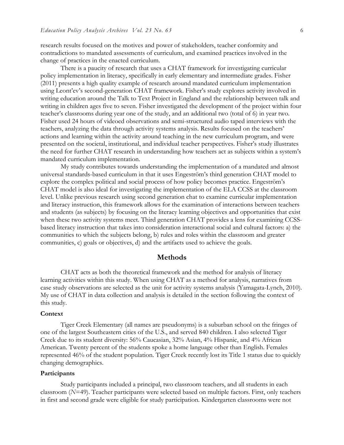research results focused on the motives and power of stakeholders, teacher conformity and contradictions to mandated assessments of curriculum, and examined practices involved in the change of practices in the enacted curriculum.

There is a paucity of research that uses a CHAT framework for investigating curricular policy implementation in literacy, specifically in early elementary and intermediate grades. Fisher (2011) presents a high quality example of research around mandated curriculum implementation using Leont'ev's second-generation CHAT framework. Fisher's study explores activity involved in writing education around the Talk to Text Project in England and the relationship between talk and writing in children ages five to seven. Fisher investigated the development of the project within four teacher's classrooms during year one of the study, and an additional two (total of 6) in year two. Fisher used 24 hours of videoed observations and semi-structured audio taped interviews with the teachers, analyzing the data through activity systems analysis. Results focused on the teachers' actions and learning within the activity around teaching in the new curriculum program, and were presented on the societal, institutional, and individual teacher perspectives. Fisher's study illustrates the need for further CHAT research in understanding how teachers act as subjects within a system's mandated curriculum implementation.

My study contributes towards understanding the implementation of a mandated and almost universal standards-based curriculum in that it uses Engeström's third generation CHAT model to explore the complex political and social process of how policy becomes practice. Engeström's CHAT model is also ideal for investigating the implementation of the ELA CCSS at the classroom level. Unlike previous research using second generation chat to examine curricular implementation and literacy instruction, this framework allows for the examination of interactions between teachers and students (as subjects) by focusing on the literacy learning objectives and opportunities that exist when these two activity systems meet. Third generation CHAT provides a lens for examining CCSSbased literacy instruction that takes into consideration interactional social and cultural factors: a) the communities to which the subjects belong, b) rules and roles within the classroom and greater communities, c) goals or objectives, d) and the artifacts used to achieve the goals.

## **Methods**

CHAT acts as both the theoretical framework and the method for analysis of literacy learning activities within this study. When using CHAT as a method for analysis, narratives from case study observations are selected as the unit for activity systems analysis (Yamagata-Lynch, 2010). My use of CHAT in data collection and analysis is detailed in the section following the context of this study.

## **Context**

Tiger Creek Elementary (all names are pseudonyms) is a suburban school on the fringes of one of the largest Southeastern cities of the U.S., and served 840 children. I also selected Tiger Creek due to its student diversity: 56% Caucasian, 32% Asian, 4% Hispanic, and 4% African American. Twenty percent of the students spoke a home language other than English. Females represented 46% of the student population. Tiger Creek recently lost its Title 1 status due to quickly changing demographics.

## **Participants**

Study participants included a principal, two classroom teachers, and all students in each classroom (*N*=49). Teacher participants were selected based on multiple factors. First, only teachers in first and second grade were eligible for study participation. Kindergarten classrooms were not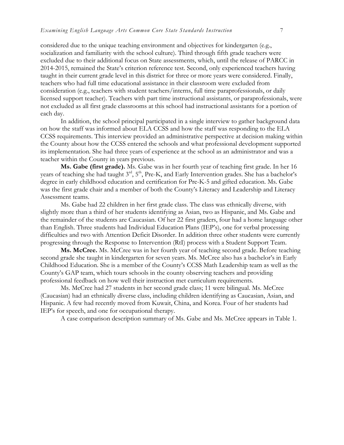considered due to the unique teaching environment and objectives for kindergarten (e.g., socialization and familiarity with the school culture). Third through fifth grade teachers were excluded due to their additional focus on State assessments, which, until the release of PARCC in 2014-2015, remained the State's criterion reference test. Second, only experienced teachers having taught in their current grade level in this district for three or more years were considered. Finally, teachers who had full time educational assistance in their classroom were excluded from consideration (e.g., teachers with student teachers/interns, full time paraprofessionals, or daily licensed support teacher). Teachers with part time instructional assistants, or paraprofessionals, were not excluded as all first grade classrooms at this school had instructional assistants for a portion of each day.

In addition, the school principal participated in a single interview to gather background data on how the staff was informed about ELA CCSS and how the staff was responding to the ELA CCSS requirements. This interview provided an administrative perspective at decision making within the County about how the CCSS entered the schools and what professional development supported its implementation. She had three years of experience at the school as an administrator and was a teacher within the County in years previous.

**Ms. Gabe (first grade).** Ms. Gabe was in her fourth year of teaching first grade. In her 16 years of teaching she had taught  $3<sup>rd</sup>$ ,  $5<sup>th</sup>$ , Pre-K, and Early Intervention grades. She has a bachelor's degree in early childhood education and certification for Pre-K-5 and gifted education. Ms. Gabe was the first grade chair and a member of both the County's Literacy and Leadership and Literacy Assessment teams.

Ms. Gabe had 22 children in her first grade class. The class was ethnically diverse, with slightly more than a third of her students identifying as Asian, two as Hispanic, and Ms. Gabe and the remainder of the students are Caucasian. Of her 22 first graders, four had a home language other than English. Three students had Individual Education Plans (IEP's), one for verbal processing difficulties and two with Attention Deficit Disorder. In addition three other students were currently progressing through the Response to Intervention (RtI) process with a Student Support Team.

**Ms. McCree.** Ms. McCree was in her fourth year of teaching second grade. Before teaching second grade she taught in kindergarten for seven years. Ms. McCree also has a bachelor's in Early Childhood Education. She is a member of the County's CCSS Math Leadership team as well as the County's GAP team, which tours schools in the county observing teachers and providing professional feedback on how well their instruction met curriculum requirements.

Ms. McCree had 27 students in her second grade class; 11 were bilingual. Ms. McCree (Caucasian) had an ethnically diverse class, including children identifying as Caucasian, Asian, and Hispanic. A few had recently moved from Kuwait, China, and Korea. Four of her students had IEP's for speech, and one for occupational therapy.

A case comparison description summary of Ms. Gabe and Ms. McCree appears in Table 1.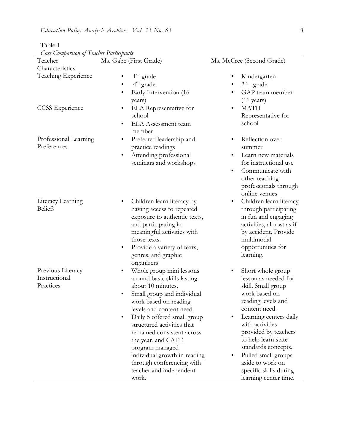| Case Comparison of Teacher Faritipants<br>Teacher | Ms. Gabe (First Grade)                                                                                                                                                                                                                                                                                                                                                                                         | Ms. McCree (Second Grade)                                                                                                                                                                                                                                                                                                                |
|---------------------------------------------------|----------------------------------------------------------------------------------------------------------------------------------------------------------------------------------------------------------------------------------------------------------------------------------------------------------------------------------------------------------------------------------------------------------------|------------------------------------------------------------------------------------------------------------------------------------------------------------------------------------------------------------------------------------------------------------------------------------------------------------------------------------------|
| Characteristics                                   |                                                                                                                                                                                                                                                                                                                                                                                                                |                                                                                                                                                                                                                                                                                                                                          |
| Teaching Experience                               | $1st$ grade<br>$4th$ grade<br>Early Intervention (16)<br>٠<br>years)                                                                                                                                                                                                                                                                                                                                           | Kindergarten<br>$2nd$ grade<br>GAP team member<br>$(11 \text{ years})$                                                                                                                                                                                                                                                                   |
| <b>CCSS</b> Experience                            | ELA Representative for<br>٠<br>school<br><b>ELA</b> Assessment team<br>٠<br>member                                                                                                                                                                                                                                                                                                                             | <b>MATH</b><br>$\bullet$<br>Representative for<br>school                                                                                                                                                                                                                                                                                 |
| Professional Learning<br>Preferences              | Preferred leadership and<br>$\bullet$<br>practice readings<br>Attending professional<br>$\bullet$<br>seminars and workshops                                                                                                                                                                                                                                                                                    | Reflection over<br>summer<br>Learn new materials<br>for instructional use<br>Communicate with<br>$\bullet$<br>other teaching<br>professionals through<br>online venues                                                                                                                                                                   |
| Literacy Learning<br><b>Beliefs</b>               | Children learn literacy by<br>having access to repeated<br>exposure to authentic texts,<br>and participating in<br>meaningful activities with<br>those texts.<br>Provide a variety of texts,<br>$\bullet$<br>genres, and graphic<br>organizers                                                                                                                                                                 | Children learn literacy<br>through participating<br>in fun and engaging<br>activities, almost as if<br>by accident. Provide<br>multimodal<br>opportunities for<br>learning.                                                                                                                                                              |
| Previous Literacy<br>Instructional<br>Practices   | Whole group mini lessons<br>٠<br>around basic skills lasting<br>about 10 minutes.<br>Small group and individual<br>٠<br>work based on reading<br>levels and content need.<br>Daily 5 offered small group<br>structured activities that<br>remained consistent across<br>the year, and CAFE<br>program managed<br>individual growth in reading<br>through conferencing with<br>teacher and independent<br>work. | Short whole group<br>lesson as needed for<br>skill. Small group<br>work based on<br>reading levels and<br>content need.<br>Learning centers daily<br>with activities<br>provided by teachers<br>to help learn state<br>standards concepts.<br>Pulled small groups<br>aside to work on<br>specific skills during<br>learning center time. |

Table 1 *Case Comparison of Teacher Participants*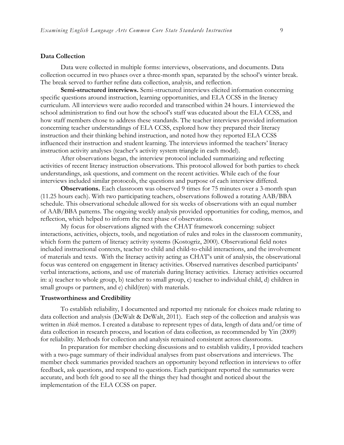#### **Data Collection**

Data were collected in multiple forms: interviews, observations, and documents. Data collection occurred in two phases over a three-month span, separated by the school's winter break. The break served to further refine data collection, analysis, and reflection.

**Semi-structured interviews.** Semi-structured interviews elicited information concerning specific questions around instruction, learning opportunities, and ELA CCSS in the literacy curriculum. All interviews were audio recorded and transcribed within 24 hours. I interviewed the school administration to find out how the school's staff was educated about the ELA CCSS, and how staff members chose to address these standards. The teacher interviews provided information concerning teacher understandings of ELA CCSS, explored how they prepared their literacy instruction and their thinking behind instruction, and noted how they reported ELA CCSS influenced their instruction and student learning. The interviews informed the teachers' literacy instruction activity analyses (teacher's activity system triangle in each model).

After observations began, the interview protocol included summarizing and reflecting activities of recent literacy instruction observations. This protocol allowed for both parties to check understandings, ask questions, and comment on the recent activities. While each of the four interviews included similar protocols, the questions and purpose of each interview differed.

**Observations.** Each classroom was observed 9 times for 75 minutes over a 3-month span (11.25 hours each). With two participating teachers, observations followed a rotating AAB/BBA schedule. This observational schedule allowed for six weeks of observations with an equal number of AAB/BBA patterns. The ongoing weekly analysis provided opportunities for coding, memos, and reflection, which helped to inform the next phase of observations.

My focus for observations aligned with the CHAT framework concerning: subject interactions, activities, objects, tools, and negotiation of rules and roles in the classroom community, which form the pattern of literacy activity systems (Kostogriz, 2000). Observational field notes included instructional contexts, teacher to child and child-to-child interactions, and the involvement of materials and texts. With the literacy activity acting as CHAT's unit of analysis, the observational focus was centered on engagement in literacy activities. Observed narratives described participants' verbal interactions, actions, and use of materials during literacy activities. Literacy activities occurred in: a) teacher to whole group, b) teacher to small group, c) teacher to individual child, d) children in small groups or partners, and e) child(ren) with materials.

#### **Trustworthiness and Credibility**

To establish reliability, I documented and reported my rationale for choices made relating to data collection and analysis (DeWalt & DeWalt, 2011). Each step of the collection and analysis was written in *thick* memos. I created a database to represent types of data, length of data and/or time of data collection in research process, and location of data collection, as recommended by Yin (2009) for reliability. Methods for collection and analysis remained consistent across classrooms.

In preparation for member checking discussions and to establish validity, I provided teachers with a two-page summary of their individual analyses from past observations and interviews. The member check summaries provided teachers an opportunity beyond reflection in interviews to offer feedback, ask questions, and respond to questions. Each participant reported the summaries were accurate, and both felt good to see all the things they had thought and noticed about the implementation of the ELA CCSS on paper.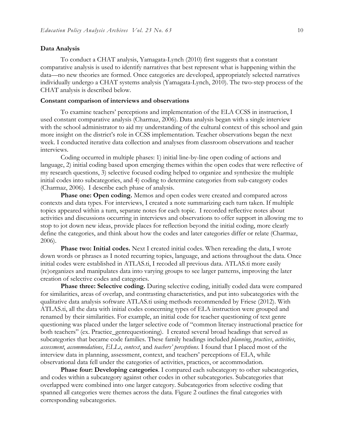#### **Data Analysis**

To conduct a CHAT analysis, Yamagata-Lynch (2010) first suggests that a constant comparative analysis is used to identify narratives that best represent what is happening within the data—no new theories are formed. Once categories are developed, appropriately selected narratives individually undergo a CHAT systems analysis (Yamagata-Lynch, 2010). The two-step process of the CHAT analysis is described below.

#### **Constant comparison of interviews and observations**

To examine teachers' perceptions and implementation of the ELA CCSS in instruction, I used constant comparative analysis (Charmaz, 2006). Data analysis began with a single interview with the school administrator to aid my understanding of the cultural context of this school and gain more insight on the district's role in CCSS implementation. Teacher observations began the next week. I conducted iterative data collection and analyses from classroom observations and teacher interviews.

Coding occurred in multiple phases: 1) initial line-by-line open coding of actions and language, 2) initial coding based upon emerging themes within the open codes that were reflective of my research questions, 3) selective focused coding helped to organize and synthesize the multiple initial codes into subcategories, and 4) coding to determine categories from sub-category codes (Charmaz, 2006). I describe each phase of analysis.

**Phase one: Open coding.** Memos and open codes were created and compared across contexts and data types. For interviews, I created a note summarizing each turn taken. If multiple topics appeared within a turn, separate notes for each topic. I recorded reflective notes about activities and discussions occurring in interviews and observations to offer support in allowing me to stop to jot down new ideas, provide places for reflection beyond the initial coding, more clearly define the categories, and think about how the codes and later categories differ or relate (Charmaz, 2006).

**Phase two: Initial codes.** Next I created initial codes. When rereading the data, I wrote down words or phrases as I noted recurring topics, language, and actions throughout the data. Once initial codes were established in ATLAS.ti, I recoded all previous data. ATLAS.ti more easily (re)organizes and manipulates data into varying groups to see larger patterns, improving the later creation of selective codes and categories.

**Phase three: Selective coding.** During selective coding, initially coded data were compared for similarities, areas of overlap, and contrasting characteristics, and put into subcategories with the qualitative data analysis software ATLAS.ti using methods recommended by Friese (2012). With ATLAS.ti, all the data with initial codes concerning types of ELA instruction were grouped and renamed by their similarities. For example, an initial code for teacher questioning of text genre questioning was placed under the larger selective code of "common literacy instructional practice for both teachers" (ex. Practice\_genrequestioning). I created several broad headings that served as subcategories that became code families. These family headings included *planning*, *practices*, *activities*, *assessment*, *accommodations*, *ELLs*, *context*, and *teachers' perceptions*. I found that I placed most of the interview data in planning, assessment, context, and teachers' perceptions of ELA, while observational data fell under the categories of activities, practices, or accommodation.

**Phase four: Developing categories**. I compared each subcategory to other subcategories, and codes within a subcategory against other codes in other subcategories. Subcategories that overlapped were combined into one larger category. Subcategories from selective coding that spanned all categories were themes across the data. Figure 2 outlines the final categories with corresponding subcategories.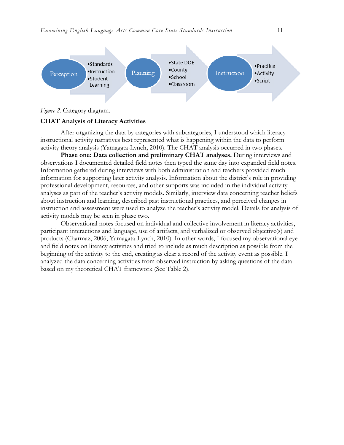

*Figure 2.* Category diagram.

#### **CHAT Analysis of Literacy Activities**

After organizing the data by categories with subcategories, I understood which literacy instructional activity narratives best represented what is happening within the data to perform activity theory analysis (Yamagata-Lynch, 2010). The CHAT analysis occurred in two phases.

**Phase one: Data collection and preliminary CHAT analyses.** During interviews and observations I documented detailed field notes then typed the same day into expanded field notes. Information gathered during interviews with both administration and teachers provided much information for supporting later activity analysis. Information about the district's role in providing professional development, resources, and other supports was included in the individual activity analyses as part of the teacher's activity models. Similarly, interview data concerning teacher beliefs about instruction and learning, described past instructional practices, and perceived changes in instruction and assessment were used to analyze the teacher's activity model. Details for analysis of activity models may be seen in phase two.

Observational notes focused on individual and collective involvement in literacy activities, participant interactions and language, use of artifacts, and verbalized or observed objective(s) and products (Charmaz, 2006; Yamagata-Lynch, 2010). In other words, I focused my observational eye and field notes on literacy activities and tried to include as much description as possible from the beginning of the activity to the end, creating as clear a record of the activity event as possible. I analyzed the data concerning activities from observed instruction by asking questions of the data based on my theoretical CHAT framework (See Table 2).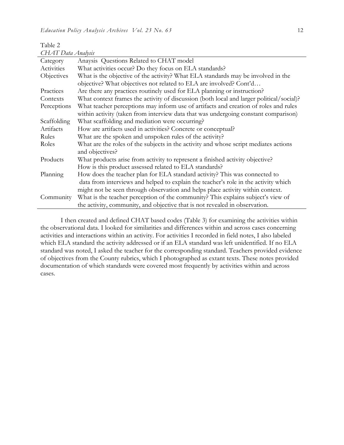Table 2 *CHAT Data Analysis*

| Category    | Anaysis Questions Related to CHAT model                                                  |  |
|-------------|------------------------------------------------------------------------------------------|--|
| Activities  | What activities occur? Do they focus on ELA standards?                                   |  |
| Objectives  | What is the objective of the activity? What ELA standards may be involved in the         |  |
|             | objective? What objectives not related to ELA are involved? Cont'd                       |  |
| Practices   | Are there any practices routinely used for ELA planning or instruction?                  |  |
| Contexts    | What context frames the activity of discussion (both local and larger political/social)? |  |
| Perceptions | What teacher perceptions may inform use of artifacts and creation of roles and rules     |  |
|             | within activity (taken from interview data that was undergoing constant comparison)      |  |
| Scaffolding | What scaffolding and mediation were occurring?                                           |  |
| Artifacts   | How are artifacts used in activities? Concrete or conceptual?                            |  |
| Rules       | What are the spoken and unspoken rules of the activity?                                  |  |
| Roles       | What are the roles of the subjects in the activity and whose script mediates actions     |  |
|             | and objectives?                                                                          |  |
| Products    | What products arise from activity to represent a finished activity objective?            |  |
|             | How is this product assessed related to ELA standards?                                   |  |
| Planning    | How does the teacher plan for ELA standard activity? This was connected to               |  |
|             | data from interviews and helped to explain the teacher's role in the activity which      |  |
|             | might not be seen through observation and helps place activity within context.           |  |
| Community   | What is the teacher perception of the community? This explains subject's view of         |  |
|             | the activity, community, and objective that is not revealed in observation.              |  |

I then created and defined CHAT based codes (Table 3) for examining the activities within the observational data. I looked for similarities and differences within and across cases concerning activities and interactions within an activity. For activities I recorded in field notes, I also labeled which ELA standard the activity addressed or if an ELA standard was left unidentified. If no ELA standard was noted, I asked the teacher for the corresponding standard. Teachers provided evidence of objectives from the County rubrics, which I photographed as extant texts. These notes provided documentation of which standards were covered most frequently by activities within and across cases.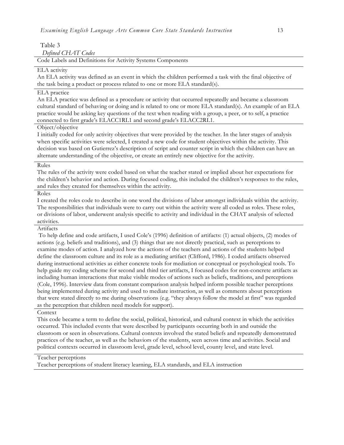Table 3 *Defined CHAT Codes*

Code Labels and Definitions for Activity Systems Components

#### ELA activity

An ELA activity was defined as an event in which the children performed a task with the final objective of the task being a product or process related to one or more ELA standard(s).

## ELA practice

An ELA practice was defined as a procedure or activity that occurred repeatedly and became a classroom cultural standard of behaving or doing and is related to one or more ELA standard(s). An example of an ELA practice would be asking key questions of the text when reading with a group, a peer, or to self, a practice connected to first grade's ELACC1RL1 and second grade's ELACC2RL1.

## Object/objective

I initially coded for only activity objectives that were provided by the teacher. In the later stages of analysis when specific activities were selected, I created a new code for student objectives within the activity. This decision was based on Gutierrez's description of script and counter script in which the children can have an alternate understanding of the objective, or create an entirely new objective for the activity.

#### Rules

The rules of the activity were coded based on what the teacher stated or implied about her expectations for the children's behavior and action. During focused coding, this included the children's responses to the rules, and rules they created for themselves within the activity.

#### Roles

I created the roles code to describe in one word the divisions of labor amongst individuals within the activity. The responsibilities that individuals were to carry out within the activity were all coded as roles. These roles, or divisions of labor, underwent analysis specific to activity and individual in the CHAT analysis of selected activities.

#### Artifacts

To help define and code artifacts, I used Cole's (1996) definition of artifacts: (1) actual objects, (2) modes of actions (e.g. beliefs and traditions), and (3) things that are not directly practical, such as perceptions to examine modes of action. I analyzed how the actions of the teachers and actions of the students helped define the classroom culture and its role as a mediating artifact (Clifford, 1986). I coded artifacts observed during instructional activities as either concrete tools for mediation or conceptual or psychological tools. To help guide my coding scheme for second and third tier artifacts, I focused codes for non-concrete artifacts as including human interactions that make visible modes of actions such as beliefs, traditions, and perceptions (Cole, 1996). Interview data from constant comparison analysis helped inform possible teacher perceptions being implemented during activity and used to mediate instruction, as well as comments about perceptions that were stated directly to me during observations (e.g. "they always follow the model at first" was regarded as the perception that children need models for support).

## Context

This code became a term to define the social, political, historical, and cultural context in which the activities occurred. This included events that were described by participants occurring both in and outside the classroom or seen in observations. Cultural contexts involved the stated beliefs and repeatedly demonstrated practices of the teacher, as well as the behaviors of the students, seen across time and activities. Social and political contexts occurred in classroom level, grade level, school level, county level, and state level.

#### Teacher perceptions

Teacher perceptions of student literacy learning, ELA standards, and ELA instruction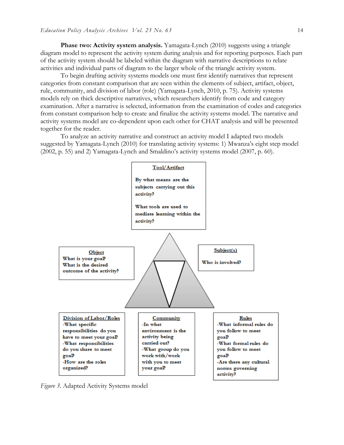**Phase two: Activity system analysis.** Yamagata-Lynch (2010) suggests using a triangle diagram model to represent the activity system during analysis and for reporting purposes. Each part of the activity system should be labeled within the diagram with narrative descriptions to relate activities and individual parts of diagram to the larger whole of the triangle activity system.

To begin drafting activity systems models one must first identify narratives that represent categories from constant comparison that are seen within the elements of subject, artifact, object, rule, community, and division of labor (role) (Yamagata-Lynch, 2010, p. 75). Activity systems models rely on thick descriptive narratives, which researchers identify from code and category examination. After a narrative is selected, information from the examination of codes and categories from constant comparison help to create and finalize the activity systems model. The narrative and activity systems model are co-dependent upon each other for CHAT analysis and will be presented together for the reader.

To analyze an activity narrative and construct an activity model I adapted two models suggested by Yamagata-Lynch (2010) for translating activity systems: 1) Mwanza's eight step model (2002, p. 55) and 2) Yamagata-Lynch and Smaldino's activity systems model (2007, p. 60).



*Figure 3*. Adapted Activity Systems model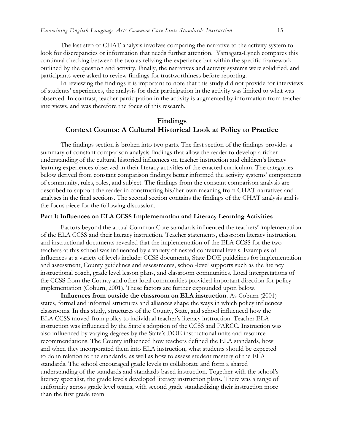The last step of CHAT analysis involves comparing the narrative to the activity system to look for discrepancies or information that needs further attention. Yamagata-Lynch compares this continual checking between the two as reliving the experience but within the specific framework outlined by the question and activity. Finally, the narratives and activity systems were solidified, and participants were asked to review findings for trustworthiness before reporting.

In reviewing the findings it is important to note that this study did not provide for interviews of students' experiences, the analysis for their participation in the activity was limited to what was observed. In contrast, teacher participation in the activity is augmented by information from teacher interviews, and was therefore the focus of this research.

## **Findings Context Counts: A Cultural Historical Look at Policy to Practice**

The findings section is broken into two parts. The first section of the findings provides a summary of constant comparison analysis findings that allow the reader to develop a richer understanding of the cultural historical influences on teacher instruction and children's literacy learning experiences observed in their literacy activities of the enacted curriculum. The categories below derived from constant comparison findings better informed the activity systems' components of community, rules, roles, and subject. The findings from the constant comparison analysis are described to support the reader in constructing his/her own meaning from CHAT narratives and analyses in the final sections. The second section contains the findings of the CHAT analysis and is the focus piece for the following discussion.

## **Part 1: Influences on ELA CCSS Implementation and Literacy Learning Activities**

Factors beyond the actual Common Core standards influenced the teachers' implementation of the ELA CCSS and their literacy instruction. Teacher statements, classroom literacy instruction, and instructional documents revealed that the implementation of the ELA CCSS for the two teachers at this school was influenced by a variety of nested contextual levels. Examples of influences at a variety of levels include: CCSS documents, State DOE guidelines for implementation and assessment, County guidelines and assessments, school-level supports such as the literacy instructional coach, grade level lesson plans, and classroom communities. Local interpretations of the CCSS from the County and other local communities provided important direction for policy implementation (Coburn, 2001). These factors are further expounded upon below.

**Influences from outside the classroom on ELA instruction.** As Coburn (2001) states, formal and informal structures and alliances shape the ways in which policy influences classrooms. In this study, structures of the County, State, and school influenced how the ELA CCSS moved from policy to individual teacher's literacy instruction. Teacher ELA instruction was influenced by the State's adoption of the CCSS and PARCC. Instruction was also influenced by varying degrees by the State's DOE instructional units and resource recommendations. The County influenced how teachers defined the ELA standards, how and when they incorporated them into ELA instruction, what students should be expected to do in relation to the standards, as well as how to assess student mastery of the ELA standards. The school encouraged grade levels to collaborate and form a shared understanding of the standards and standards-based instruction. Together with the school's literacy specialist, the grade levels developed literacy instruction plans. There was a range of uniformity across grade level teams, with second grade standardizing their instruction more than the first grade team.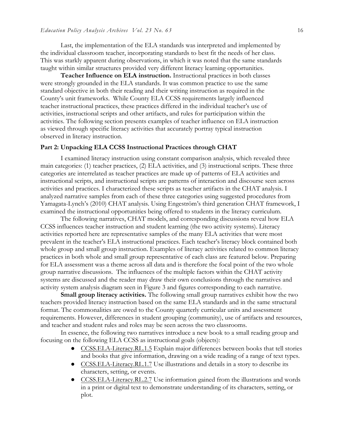Last, the implementation of the ELA standards was interpreted and implemented by the individual classroom teacher, incorporating standards to best fit the needs of her class. This was starkly apparent during observations, in which it was noted that the same standards taught within similar structures provided very different literacy learning opportunities.

**Teacher Influence on ELA instruction.** Instructional practices in both classes were strongly grounded in the ELA standards. It was common practice to use the same standard objective in both their reading and their writing instruction as required in the County's unit frameworks. While County ELA CCSS requirements largely influenced teacher instructional practices, these practices differed in the individual teacher's use of activities, instructional scripts and other artifacts, and rules for participation within the activities. The following section presents examples of teacher influence on ELA instruction as viewed through specific literacy activities that accurately portray typical instruction observed in literacy instruction.

#### **Part 2: Unpacking ELA CCSS Instructional Practices through CHAT**

I examined literacy instruction using constant comparison analysis, which revealed three main categories: (1) teacher practices, (2) ELA activities, and (3) instructional scripts. These three categories are interrelated as teacher practices are made up of patterns of ELA activities and instructional scripts, and instructional scripts are patterns of interaction and discourse seen across activities and practices. I characterized these scripts as teacher artifacts in the CHAT analysis. I analyzed narrative samples from each of these three categories using suggested procedures from Yamagata-Lynch's (2010) CHAT analysis. Using Engeström's third generation CHAT framework, I examined the instructional opportunities being offered to students in the literacy curriculum.

The following narratives, CHAT models, and corresponding discussions reveal how ELA CCSS influences teacher instruction and student learning (the two activity systems). Literacy activities reported here are representative samples of the many ELA activities that were most prevalent in the teacher's ELA instructional practices. Each teacher's literacy block contained both whole group and small group instruction. Examples of literacy activities related to common literacy practices in both whole and small group representative of each class are featured below. Preparing for ELA assessment was a theme across all data and is therefore the focal point of the two whole group narrative discussions. The influences of the multiple factors within the CHAT activity systems are discussed and the reader may draw their own conclusions through the narratives and activity system analysis diagram seen in Figure 3 and figures corresponding to each narrative.

**Small group literacy activities.** The following small group narratives exhibit how the two teachers provided literacy instruction based on the same ELA standards and in the same structural format. The commonalities are owed to the County quarterly curricular units and assessment requirements. However, differences in student grouping (community), use of artifacts and resources, and teacher and student rules and roles may be seen across the two classrooms.

In essence, the following two narratives introduce a new book to a small reading group and focusing on the following ELA CCSS as instructional goals (objects):

- CCSS.ELA-Literacy.RL.1.5 Explain major differences between books that tell stories and books that give information, drawing on a wide reading of a range of text types.
- CCSS.ELA-Literacy.RL.1.7 Use illustrations and details in a story to describe its characters, setting, or events.
- CCSS.ELA-Literacy.RL.2.7 Use information gained from the illustrations and words in a print or digital text to demonstrate understanding of its characters, setting, or plot.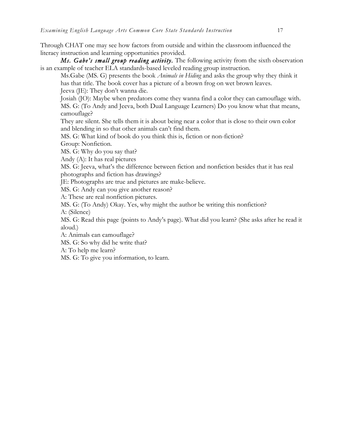Through CHAT one may see how factors from outside and within the classroom influenced the literacy instruction and learning opportunities provided.

*Ms. Gabe's small group reading activity.* The following activity from the sixth observation is an example of teacher ELA standards-based leveled reading group instruction.

Ms.Gabe (MS. G) presents the book *Animals in Hiding* and asks the group why they think it has that title. The book cover has a picture of a brown frog on wet brown leaves. Jeeva (JE): They don't wanna die.

Josiah (JO): Maybe when predators come they wanna find a color they can camouflage with. MS. G: (To Andy and Jeeva, both Dual Language Learners) Do you know what that means, camouflage?

They are silent. She tells them it is about being near a color that is close to their own color and blending in so that other animals can't find them.

MS. G: What kind of book do you think this is, fiction or non-fiction?

Group: Nonfiction.

MS. G: Why do you say that?

Andy (A): It has real pictures

MS. G: Jeeva, what's the difference between fiction and nonfiction besides that it has real photographs and fiction has drawings?

JE: Photographs are true and pictures are make-believe.

MS. G: Andy can you give another reason?

A: These are real nonfiction pictures.

MS. G: (To Andy) Okay. Yes, why might the author be writing this nonfiction? A: (Silence)

MS. G: Read this page (points to Andy's page). What did you learn? (She asks after he read it aloud.)

A: Animals can camouflage?

MS. G: So why did he write that?

A: To help me learn?

MS. G: To give you information, to learn.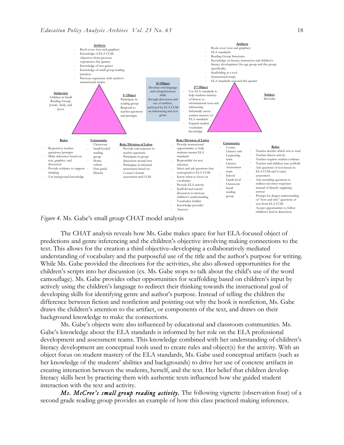

*Figure 4.* Ms. Gabe's small group CHAT model analysis

The CHAT analysis reveals how Ms. Gabe makes space for her ELA-focused object of predictions and genre inferencing and the children's objective involving making connections to the text. This allows for the creation a third objective–developing a collaboratively mediated understanding of vocabulary and the purposeful use of the title and the author's purpose for writing. While Ms. Gabe provided the directions for the activities, she also allowed opportunities for the children's scripts into her discussion (ex. Ms. Gabe stops to talk about the child's use of the word camouflage). Ms. Gabe provides other opportunities for scaffolding based on children's input by actively using the children's language to redirect their thinking towards the instructional goal of developing skills for identifying genre and author's purpose. Instead of telling the children the difference between fiction and nonfiction and pointing out why the book is nonfiction, Ms. Gabe draws the children's attention to the artifact, or components of the text, and draws on their background knowledge to make the connections.

Ms. Gabe's objects were also influenced by educational and classroom communities. Ms. Gabe's knowledge about the ELA standards is informed by her role on the ELA professional development and assessment teams. This knowledge combined with her understanding of children's literacy development are conceptual tools used to create rules and object(s) for the activity. With an object focus on student mastery of the ELA standards, Ms. Gabe used conceptual artifacts (such as her knowledge of the students' abilities and backgrounds) to drive her use of concrete artifacts in creating interaction between the students, herself, and the text. Her belief that children develop literacy skills best by practicing them with authentic texts influenced how she guided student interaction with the text and activity.

*Ms. McCree's small group reading activity.* The following vignette (observation four) of a second grade reading group provides an example of how this class practiced making inferences.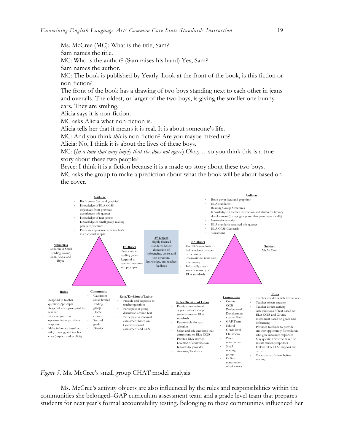Ms. McCree (MC): What is the title, Sam? Sam names the title. MC: Who is the author? (Sam raises his hand) Yes, Sam? Sam names the author. MC: The book is published by Yearly. Look at the front of the book, is this fiction or non-fiction? The front of the book has a drawing of two boys standing next to each other in jeans and overalls. The oldest, or larger of the two boys, is giving the smaller one bunny ears. They are smiling.

Alicia says it is non-fiction.

MC asks Alicia what non-fiction is.

Alicia tells her that it means it is real. It is about someone's life.

MC: And you think *this* is non-fiction? Are you maybe mixed up?

Alicia: No, I think it is about the lives of these boys.

MC: (*In a tone that may imply that she does not agree*) Okay …so you think this is a true story about these two people?

Bryce: I think it is a fiction because it is a made up story about these two boys. MC asks the group to make a prediction about what the book will be about based on the cover.



*Figure 5.* Ms. McCree's small group CHAT model analysis

Ms. McCree's activity objects are also influenced by the rules and responsibilities within the communities she belonged–GAP curriculum assessment team and a grade level team that prepares students for next year's formal accountability testing. Belonging to these communities influenced her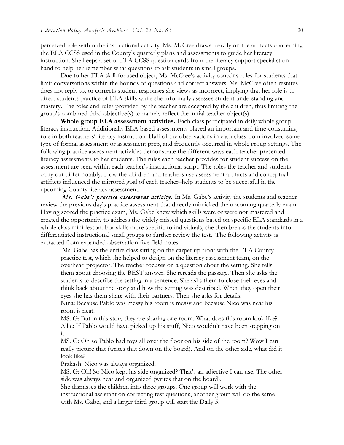perceived role within the instructional activity. Ms. McCree draws heavily on the artifacts concerning the ELA CCSS used in the County's quarterly plans and assessments to guide her literacy instruction. She keeps a set of ELA CCSS question cards from the literacy support specialist on hand to help her remember what questions to ask students in small groups.

Due to her ELA skill-focused object, Ms. McCree's activity contains rules for students that limit conversations within the bounds of questions and correct answers. Ms. McCree often restates, does not reply to, or corrects student responses she views as incorrect, implying that her role is to direct students practice of ELA skills while she informally assesses student understanding and mastery. The roles and rules provided by the teacher are accepted by the children, thus limiting the group's combined third objective(s) to namely reflect the initial teacher object(s).

**Whole group ELA assessment activities.** Each class participated in daily whole group literacy instruction. Additionally ELA based assessments played an important and time-consuming role in both teachers' literacy instruction. Half of the observations in each classroom involved some type of formal assessment or assessment prep, and frequently occurred in whole group settings. The following practice assessment activities demonstrate the different ways each teacher presented literacy assessments to her students. The rules each teacher provides for student success on the assessment are seen within each teacher's instructional script. The roles the teacher and students carry out differ notably. How the children and teachers use assessment artifacts and conceptual artifacts influenced the mirrored goal of each teacher–help students to be successful in the upcoming County literacy assessment.

*Ms. Gabe's practice assessment activity.* In Ms. Gabe's activity the students and teacher review the previous day's practice assessment that directly mimicked the upcoming quarterly exam. Having scored the practice exam, Ms. Gabe knew which skills were or were not mastered and created the opportunity to address the widely-missed questions based on specific ELA standards in a whole class mini-lesson. For skills more specific to individuals, she then breaks the students into differentiated instructional small groups to further review the test. The following activity is extracted from expanded observation five field notes.

Ms. Gabe has the entire class sitting on the carpet up front with the ELA County practice test, which she helped to design on the literacy assessment team, on the overhead projector. The teacher focuses on a question about the setting. She tells them about choosing the BEST answer. She rereads the passage. Then she asks the students to describe the setting in a sentence. She asks them to close their eyes and think back about the story and how the setting was described. When they open their eyes she has them share with their partners. Then she asks for details.

Nina: Because Pablo was messy his room is messy and because Nico was neat his room is neat.

MS. G: But in this story they are sharing one room. What does this room look like? Allie: If Pablo would have picked up his stuff, Nico wouldn't have been stepping on it.

MS. G: Oh so Pablo had toys all over the floor on his side of the room? Wow I can really picture that (writes that down on the board). And on the other side, what did it look like?

Prakash: Nico was always organized.

MS. G: Oh! So Nico kept his side organized? That's an adjective I can use. The other side was always neat and organized (writes that on the board).

She dismisses the children into three groups. One group will work with the instructional assistant on correcting test questions, another group will do the same with Ms. Gabe, and a larger third group will start the Daily 5.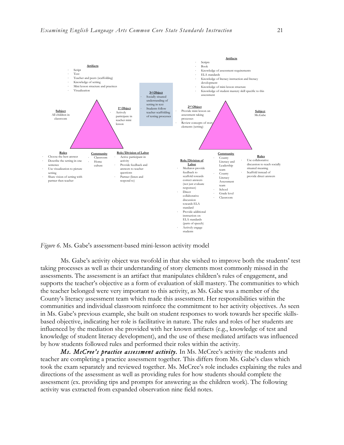

*Figure 6.* Ms. Gabe's assessment-based mini-lesson activity model

Ms. Gabe's activity object was twofold in that she wished to improve both the students' test taking processes as well as their understanding of story elements most commonly missed in the assessments. The assessment is an artifact that manipulates children's rules of engagement, and supports the teacher's objective as a form of evaluation of skill mastery. The communities to which the teacher belonged were very important to this activity, as Ms. Gabe was a member of the County's literacy assessment team which made this assessment. Her responsibilities within the communities and individual classroom reinforce the commitment to her activity objectives. As seen in Ms. Gabe's previous example, she built on student responses to work towards her specific skillsbased objective, indicating her role is facilitative in nature. The rules and roles of her students are influenced by the mediation she provided with her known artifacts (e.g., knowledge of test and knowledge of student literacy development), and the use of these mediated artifacts was influenced by how students followed rules and performed their roles within the activity.

*Ms. McCree's practice assessment activity.* In Ms. McCree's activity the students and teacher are completing a practice assessment together. This differs from Ms. Gabe's class which took the exam separately and reviewed together. Ms. McCree's role includes explaining the rules and directions of the assessment as well as providing rules for how students should complete the assessment (ex. providing tips and prompts for answering as the children work). The following activity was extracted from expanded observation nine field notes.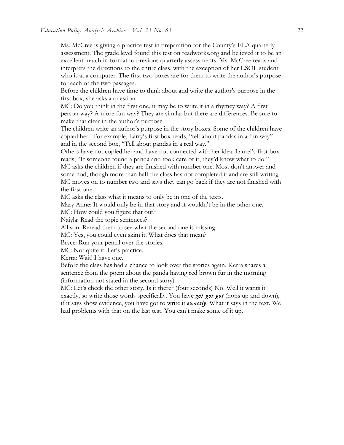Ms. McCree is giving a practice test in preparation for the County's ELA quarterly assessment. The grade level found this test on readworks.org and believed it to be an excellent match in format to previous quarterly assessments. Ms. McCree reads and interprets the directions to the entire class, with the exception of her ESOL student who is at a computer. The first two boxes are for them to write the author's purpose for each of the two passages.

Before the children have time to think about and write the author's purpose in the first box, she asks a question.

MC: Do you think in the first one, it may be to write it in a rhymey way? A first person way? A more fun way? They are similar but there are differences. Be sure to make that clear in the author's purpose.

The children write an author's purpose in the story boxes. Some of the children have copied her. For example, Larry's first box reads, "tell about pandas in a fun way" and in the second box, "Tell about pandas in a real way."

Others have not copied her and have not connected with her idea. Laurel's first box reads, "If someone found a panda and took care of it, they'd know what to do." MC asks the children if they are finished with number one. Most don't answer and some nod, though more than half the class has not completed it and are still writing. MC moves on to number two and says they can go back if they are not finished with the first one.

MC asks the class what it means to only be in one of the texts.

Mary Anne: It would only be in that story and it wouldn't be in the other one.

MC: How could you figure that out?

Naiyla: Read the topic sentences?

Allison: Reread them to see what the second one is missing.

MC: Yes, you could even skim it. What does that mean?

Bryce: Run your pencil over the stories.

MC: Not quite it. Let's practice.

Kerra: Wait! I have one.

Before the class has had a chance to look over the stories again, Kerra shares a sentence from the poem about the panda having red brown fur in the morning (information not stated in the second story).

MC: Let's check the other story. Is it there? (four seconds) No. Well it wants it exactly, so write those words specifically. You have *got got got* (hops up and down), if it says show evidence, you have got to write it *exactly*. What it says in the text. We had problems with that on the last test. You can't make some of it up.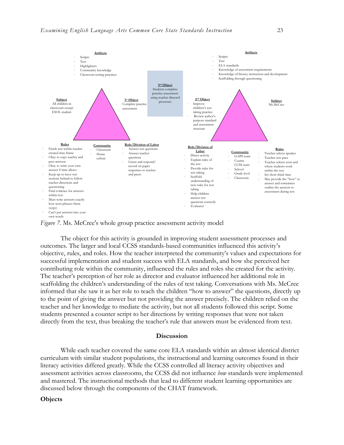

*Figure 7*. Ms. McCree's whole group practice assessment activity model

The object for this activity is grounded in improving student assessment processes and outcomes. The larger and local CCSS standards-based communities influenced this activity's objective, rules, and roles. How the teacher interpreted the community's values and expectations for successful implementation and student success with ELA standards, and how she perceived her contributing role within the community, influenced the rules and roles she created for the activity. The teacher's perception of her role as director and evaluator influenced her additional role in scaffolding the children's understanding of the rules of test taking. Conversations with Ms. McCree informed that she saw it as her role to teach the children "how to answer" the questions, directly up to the point of giving the answer but not providing the answer precisely. The children relied on the teacher and her knowledge to mediate the activity, but not all students followed this script. Some students presented a counter script to her directions by writing responses that were not taken directly from the text, thus breaking the teacher's rule that answers must be evidenced from text.

#### **Discussion**

While each teacher covered the same core ELA standards within an almost identical district curriculum with similar student populations, the instructional and learning outcomes found in their literacy activities differed greatly. While the CCSS controlled all literacy activity objectives and assessment activities across classrooms, the CCSS did not influence *how* standards were implemented and mastered. The instructional methods that lead to different student learning opportunities are discussed below through the components of the CHAT framework.

## **Objects**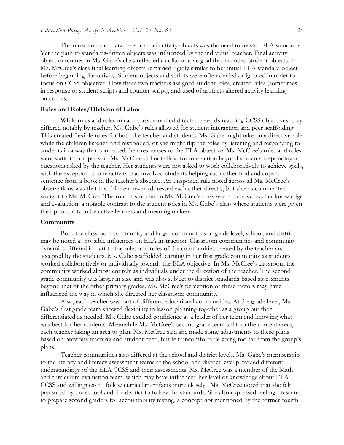The most notable characteristic of all activity objects was the need to master ELA standards. Yet the path to standards-driven objects was influenced by the individual teacher. Final activity object outcomes in Ms. Gabe's class reflected a collaborative goal that included student objects. In Ms. McCree's class final learning objects remained rigidly similar to her initial ELA standard object before beginning the activity. Student objects and scripts were often denied or ignored in order to focus on CCSS objective. How these two teachers assigned student roles, created rules (sometimes in response to student scripts and counter script), and used of artifacts altered activity learning outcomes.

#### **Rules and Roles/Division of Labor**

While rules and roles in each class remained directed towards reaching CCSS objectives, they differed notably by teacher. Ms. Gabe's rules allowed for student interaction and peer scaffolding. This created flexible roles for both the teacher and students. Ms. Gabe might take on a directive role while the children listened and responded, or she might flip the roles by listening and responding to students in a way that connected their responses to the ELA objective. Ms. McCree's rules and roles were static in comparison. Ms. McCree did not allow for interaction beyond students responding to questions asked by the teacher. Her students were not asked to work collaboratively to achieve goals, with the exception of one activity that involved students helping each other find and copy a sentence from a book in the teacher's absence. An unspoken rule noted across all Ms. McCree's observations was that the children never addressed each other directly, but always commented straight to Ms. McCree. The role of students in Ms. McCree's class was to receive teacher knowledge and evaluation, a notable contrast to the student roles in Ms. Gabe's class where students were given the opportunity to be active learners and meaning makers.

#### **Community**

Both the classroom community and larger communities of grade level, school, and district may be noted as possible influences on ELA instruction. Classroom communities and community dynamics differed in part to the rules and roles of the communities created by the teacher and accepted by the students. Ms. Gabe scaffolded learning in her first grade community as students worked collaboratively or individually towards the ELA objective. In Ms. McCree's classroom the community worked almost entirely as individuals under the direction of the teacher. The second grade community was larger in size and was also subject to district standards-based assessments beyond that of the other primary grades. Ms. McCree's perception of these factors may have influenced the way in which she directed her classroom community.

Also, each teacher was part of different educational communities. At the grade level, Ms. Gabe's first grade team showed flexibility in lesson planning together as a group but then differentiated as needed. Ms. Gabe exuded confidence as a leader of her team and knowing what was best for her students. Meanwhile Ms. McCree's second grade team split up the content areas, each teacher taking an area to plan. Ms. McCree said she made some adjustments to these plans based on previous teaching and student need, but felt uncomfortable going too far from the group's plans.

Teacher communities also differed at the school and district levels. Ms. Gabe's membership to the literacy and literacy assessment teams at the school and district level provided different understandings of the ELA CCSS and their assessments. Ms. McCree was a member of the Math and curriculum evaluation team, which may have influenced her level of knowledge about ELA CCSS and willingness to follow curricular artifacts more closely. Ms. McCree noted that she felt pressured by the school and the district to follow the standards. She also expressed feeling pressure to prepare second graders for accountability testing, a concept not mentioned by the former fourth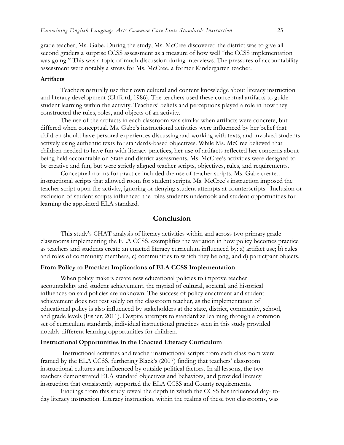grade teacher, Ms. Gabe. During the study, Ms. McCree discovered the district was to give all second graders a surprise CCSS assessment as a measure of how well "the CCSS implementation was going." This was a topic of much discussion during interviews. The pressures of accountability assessment were notably a stress for Ms. McCree, a former Kindergarten teacher.

#### **Artifacts**

Teachers naturally use their own cultural and content knowledge about literacy instruction and literacy development (Clifford, 1986). The teachers used these conceptual artifacts to guide student learning within the activity. Teachers' beliefs and perceptions played a role in how they constructed the rules, roles, and objects of an activity.

The use of the artifacts in each classroom was similar when artifacts were concrete, but differed when conceptual. Ms. Gabe's instructional activities were influenced by her belief that children should have personal experiences discussing and working with texts, and involved students actively using authentic texts for standards-based objectives. While Ms. McCree believed that children needed to have fun with literacy practices, her use of artifacts reflected her concerns about being held accountable on State and district assessments. Ms. McCree's activities were designed to be creative and fun, but were strictly aligned teacher scripts, objectives, rules, and requirements.

Conceptual norms for practice included the use of teacher scripts. Ms. Gabe created instructional scripts that allowed room for student scripts. Ms. McCree's instruction imposed the teacher script upon the activity, ignoring or denying student attempts at counterscripts. Inclusion or exclusion of student scripts influenced the roles students undertook and student opportunities for learning the appointed ELA standard.

## **Conclusion**

This study's CHAT analysis of literacy activities within and across two primary grade classrooms implementing the ELA CCSS, exemplifies the variation in how policy becomes practice as teachers and students create an enacted literacy curriculum influenced by: a) artifact use; b) rules and roles of community members, c) communities to which they belong, and d) participant objects.

## **From Policy to Practice: Implications of ELA CCSS Implementation**

When policy makers create new educational policies to improve teacher accountability and student achievement, the myriad of cultural, societal, and historical influences on said policies are unknown. The success of policy enactment and student achievement does not rest solely on the classroom teacher, as the implementation of educational policy is also influenced by stakeholders at the state, district, community, school, and grade levels (Fisher, 2011). Despite attempts to standardize learning through a common set of curriculum standards, individual instructional practices seen in this study provided notably different learning opportunities for children.

#### **Instructional Opportunities in the Enacted Literacy Curriculum**

Instructional activities and teacher instructional scripts from each classroom were framed by the ELA CCSS, furthering Black's (2007) finding that teachers' classroom instructional cultures are influenced by outside political factors. In all lessons, the two teachers demonstrated ELA standard objectives and behaviors, and provided literacy instruction that consistently supported the ELA CCSS and County requirements.

Findings from this study reveal the depth in which the CCSS has influenced day- today literacy instruction. Literacy instruction, within the realms of these two classrooms, was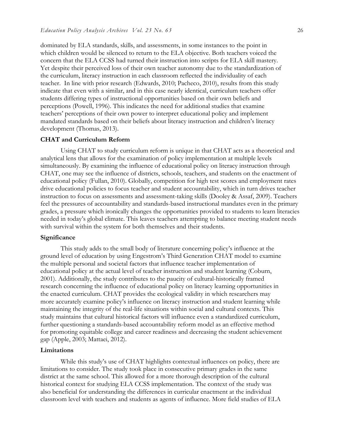dominated by ELA standards, skills, and assessments, in some instances to the point in which children would be silenced to return to the ELA objective. Both teachers voiced the concern that the ELA CCSS had turned their instruction into scripts for ELA skill mastery. Yet despite their perceived loss of their own teacher autonomy due to the standardization of the curriculum, literacy instruction in each classroom reflected the individuality of each teacher. In line with prior research (Edwards, 2010; Pacheco, 2010), results from this study indicate that even with a similar, and in this case nearly identical, curriculum teachers offer students differing types of instructional opportunities based on their own beliefs and perceptions (Powell, 1996). This indicates the need for additional studies that examine teachers' perceptions of their own power to interpret educational policy and implement mandated standards based on their beliefs about literacy instruction and children's literacy development (Thomas, 2013).

## **CHAT and Curriculum Reform**

Using CHAT to study curriculum reform is unique in that CHAT acts as a theoretical and analytical lens that allows for the examination of policy implementation at multiple levels simultaneously. By examining the influence of educational policy on literacy instruction through CHAT, one may see the influence of districts, schools, teachers, and students on the enactment of educational policy (Fullan, 2010). Globally, competition for high test scores and employment rates drive educational policies to focus teacher and student accountability, which in turn drives teacher instruction to focus on assessments and assessment-taking skills (Dooley & Assaf, 2009). Teachers feel the pressures of accountability and standards-based instructional mandates even in the primary grades, a pressure which ironically changes the opportunities provided to students to learn literacies needed in today's global climate. This leaves teachers attempting to balance meeting student needs with survival within the system for both themselves and their students.

#### **Significance**

This study adds to the small body of literature concerning policy's influence at the ground level of education by using Engestrom's Third Generation CHAT model to examine the multiple personal and societal factors that influence teacher implementation of educational policy at the actual level of teacher instruction and student learning (Coburn, 2001). Additionally, the study contributes to the paucity of cultural-historically framed research concerning the influence of educational policy on literacy learning opportunities in the enacted curriculum. CHAT provides the ecological validity in which researchers may more accurately examine policy's influence on literacy instruction and student learning while maintaining the integrity of the real-life situations within social and cultural contexts. This study maintains that cultural historical factors will influence even a standardized curriculum, further questioning a standards-based accountability reform model as an effective method for promoting equitable college and career readiness and decreasing the student achievement gap (Apple, 2003; Mattaei, 2012).

#### **Limitations**

While this study's use of CHAT highlights contextual influences on policy, there are limitations to consider. The study took place in consecutive primary grades in the same district at the same school. This allowed for a more thorough description of the cultural historical context for studying ELA CCSS implementation. The context of the study was also beneficial for understanding the differences in curricular enactment at the individual classroom level with teachers and students as agents of influence. More field studies of ELA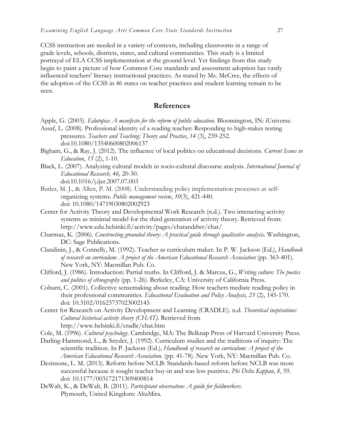CCSS instruction are needed in a variety of contexts, including classrooms in a range of grade levels, schools, districts, states, and cultural communities. This study is a limited portrayal of ELA CCSS implementation at the ground level. Yet findings from this study begin to paint a picture of how Common Core standards and assessment adoption has vastly influenced teachers' literacy instructional practices. As stated by Ms. McCree, the effects of the adoption of the CCSS in 46 states on teacher practices and student learning remain to be seen.

## **References**

- Apple, G. (2003). *Edutopia: A manifesto for the reform of public education*. Bloomington, IN: iUniverse.
- Assaf, L. (2008). Professional identity of a reading teacher: Responding to high-stakes testing pressures. *Teachers and Teaching: Theory and Practice*, *14* (3), 239-252. doi:10.1080/13540600802006137
- Bigham, G., & Ray, J. (2012). The influence of local politics on educational decisions. *Current Issues in Education*, *15* (2), 1-10.
- Black, L. (2007). Analyzing cultural models in socio-cultural discourse analysis. *International Journal of Educational Research, 46,* 20-30. doi:10.1016/j.ijer.2007.07.003
- Butler, M. J., & Allen, P. M. (2008). Understanding policy implementation processes as selforganizing systems. *Public management review*, *10*(3), 421-440. doi: 10.1080/14719030802002923
- Center for Activity Theory and Developmental Work Research (n.d.). Two interacting activity systems as minimal model for the third generation of activity theory. Retrieved from: http://www.edu.helsinki.fi/activity/pages/chatanddwr/chat/
- Charmaz, K. (2006). *Constructing grounded theory: A practical guide through qualitative analysis.* Washington, DC: Sage Publications.
- Clandinin, J., & Connelly, M. (1992). Teacher as curriculum maker. In P. W. Jackson (Ed.), *Handbook of research on curriculum: A project of the American Educational Research Association* (pp. 363-401). New York, NY: Macmillan Pub. Co.
- Clifford, J. (1986). Introduction: Partial truths. In Clifford, J. & Marcus, G., *Writing culture: The poetics and politics of ethnography* (pp. 1-26). Berkeley, CA: University of California Press.
- Coburn, C. (2001). Collective sensemaking about reading: How teachers mediate reading policy in their professional communities. *Educational Evaluation and Policy Analysis, 23* (2), 145-170. doi: 10.3102/01623737023002145
- Center for Research on Activity Development and Learning (CRADLE). n.d. *Theoretical inspirations: Cultural historical activity theory (CHAT)*. Retrieved from http://www.helsinki.fi/cradle/chat.htm
- Cole, M. (1996). *Cultural psychology*. Cambridge, MA: The Belknap Press of Harvard University Press.
- Darling-Hammond, L., & Snyder, J. (1992). Curriculum studies and the traditions of inquiry: The scientific tradition. In P. Jackson (Ed.), *Handbook of research on curriculum: A project of the American Educational Research Association*. (pp. 41-78). New York, NY: Macmillan Pub. Co.
- Desimone, L. M. (2013). Reform before NCLB: Standards-based reform before NCLB was more successful because it sought teacher buy-in and was less punitive. *Phi Delta Kappan*, *8*, 59. doi: 10.1177/003172171309400814
- DeWalt, K., & DeWalt, B. (2011). *Participtant observation: A guide for fieldworkers*. Plymouth, United Kingdom: AltaMira.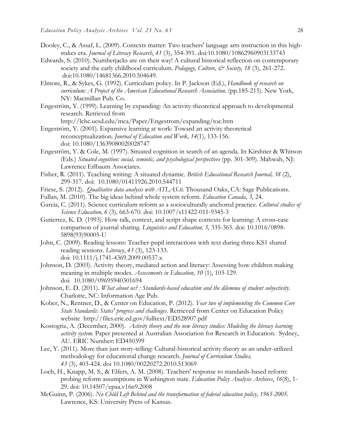- Dooley, C., & Assaf, L. (2009). Contexts matter: Two teachers' language arts instruction in this highstakes era. *Journal of Literacy Research*, *41* (3), 354-391. doi:10.1080/10862960903133743
- Edwards, S. (2010). Numberjacks are on their way! A cultural historical reflection on contemporary society and the early childhood curriculum. *Pedagogy, Culture, & Society, 18* (3), 261-272. doi:10.1080/14681366.2010.504649.
- Elmore, R., & Sykes, G. (1992). Curriculum policy. In P. Jackson (Ed.), *Handbook of research on curriculum: A Project of the American Educational Research Association*. (pp.185-215). New York, NY: Macmillan Pub. Co.
- Engeström, Y. (1999). Learning by expanding: An activity-theoretical approach to developmental research. Retrieved from

http://lchc.ucsd.edu/mca/Paper/Engestrom/expanding/toc.htm

- Engeström, Y. (2001). Expansive learning at work: Toward an activity theoretical reconceptualization. *Journal of Education and Work, 14*(1), 133-156. doi: 10.1080/13639080020028747
- Engeström, Y. & Cole, M. (1997). Situated cognition in search of an agenda. In Kirshner & Whitson (Eds.) *Situated cognition: social, semiotic, and psychological perspectives* (pp. 301-309). Mahwah, NJ: Lawrence Erlbaum Associates.
- Fisher, R. (2011). Teaching writing: A situated dynamic. *British Educational Research Journal, 38* (2), 299-317. doi:10.1080/01411926.2010.544711
- Friese, S. (2012). *Qualitative data analysis with ATLAS.ti.* Thousand Oaks, CA: Sage Publications.
- Fullan, M. (2010). The big ideas behind whole system reform. *Education Canada*, *3*, 24.
- Garcia, C. (2011). Science curriculum reform as a socioculturally anchored practice. *Cultural studies of Science Education, 6* (3)*,* 663-670. doi: 10.1007/s11422-011-9345-3
- Gutierrez, K. D. (1993). How talk, context, and script shape contexts for learning: A cross-case comparison of journal sharing. *Linguistics and Education, 5,* 335-365. doi: 10.1016/0898- 5898(93)90005-U
- John, C. (2009). Reading lessons: Teacher-pupil interactions with text during three KS1 shared reading sessions. *Literacy*, *43* (3), 123-133. doi: 10.1111/j.1741-4369.2009.00537.x
- Johnson, D. (2003). Activity theory, mediated action and literacy: Assessing how children making meaning in multiple modes. *Assessments in Education, 10* (1), 103-129. doi:10.1080/09695940301694
- Johnson, E. D. (2011). *What about us? : Standards-based education and the dilemma of student subjectivity*. Charlotte, NC: Information Age Pub.
- Kober, N., Rentner, D., & Center on Education, P. (2012). *Year two of implementing the Common Core State Standards: States' progress and challenges*. Retrieved from Center on Education Policy website http://files.eric.ed.gov/fulltext/ED528907.pdf
- Kostogriz, A. (December, 2000). *Activity theory and the new literacy studies: Modeling the literacy learning activity system*. Paper presented at Australian Association for Research in Education. Sydney, AU. ERIC Number**:** ED450399
- Lee, Y. (2011). More than just story-telling: Cultural-historical activity theory as an under-utilized methodology for educational change research. *Journal of Curriculum Studies, 43* (3), 403-424. doi 10.1080/00220272.2010.513069
- Loeb, H., Knapp, M. S., & Elfers, A. M. (2008). Teachers' response to standards-based reform: probing reform assumptions in Washington state. *Education Policy Analysis Archives*, *16*(8), 1- 29. doi: 10.14507/epaa.v16n9.2008
- McGuinn, P. (2006). *No Child Left Behind and the transformation of federal education policy, 1965-2005.*  Lawrence, KS: University Press of Kansas.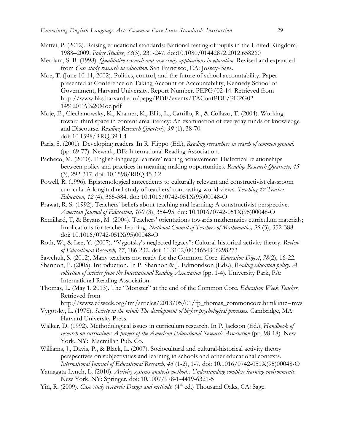- Mattei, P. (2012). Raising educational standards: National testing of pupils in the United Kingdom, 1988–2009. *Policy Studies*, *33*(3), 231-247. doi:10.1080/01442872.2012.658260
- Merriam, S. B. (1998). *Qualitative research and case study applications in education.* Revised and expanded from *Case study research in education*. San Francisco, CA: Jossey-Bass.
- Moe, T. (June 10-11, 2002). Politics, control, and the future of school accountability. Paper presented at Conference on Taking Account of Accountability, Kennedy School of Government, Harvard University. Report Number. PEPG/02-14. Retrieved from http://www.hks.harvard.edu/pepg/PDF/events/TAConfPDF/PEPG02- 14%20TA%20Moe.pdf
- Moje, E., Ciechanowsky, K., Kramer, K., Ellis, L., Carrillo, R., & Collazo, T. (2004). Working toward third space in content area literacy: An examination of everyday funds of knowledge and Discourse. *Reading Research Quarterly, 39* (1), 38-70. doi: 10.1598/RRQ.39.1.4
- Paris, S. (2001). Developing readers. In R. Flippo (Ed.), *Reading researchers in search of common ground.*  (pp. 69-77). Newark, DE: International Reading Association.
- Pacheco, M. (2010). English-language learners' reading achievement: Dialectical relationships between policy and practices in meaning-making opportunities. *Reading Research Quarterly, 45* (3), 292-317. doi: 10.1598/RRQ.45.3.2
- Powell, R. (1996). Epistemological antecedents to culturally relevant and constructivist classroom curricula: A longitudinal study of teachers' contrasting world views. *Teaching & Teacher Education, 12* (4), 365-384. doi: 10.1016/0742-051X(95)00048-O
- Prawat, R. S. (1992). Teachers' beliefs about teaching and learning: A constructivist perspective. *American Journal of Education, 100* (3), 354-95. doi: 10.1016/0742-051X(95)00048-O
- Remillard, T, & Bryans, M. (2004). Teachers' orientations towards mathematics curriculum materials; Implications for teacher learning. *National Council of Teachers of Mathematics, 35* (5), 352-388. doi: 10.1016/0742-051X(95)00048-O
- Roth, W., & Lee, Y. (2007). "Vygotsky's neglected legacy": Cultural-historical activity theory. *Review of Educational Research, 77*, 186-232. doi: 10.3102/0034654306298273
- Sawchuk, S. (2012). Many teachers not ready for the Common Core. *Education Digest*, *78*(2), 16-22.
- Shannon, P. (2005). Introduction. In P. Shannon & J. Edmondson (Eds.), *Reading education policy: A collection of articles from the International Reading Association* (pp. 1-4). University Park, PA: International Reading Association.
- Thomas, L. (May 1, 2013). The "Monster" at the end of the Common Core. *Education Week Teacher.* Retrieved from

http://www.edweek.org/tm/articles/2013/05/01/fp\_thomas\_commoncore.html?intc=mvs

- Vygotsky, L. (1978). *Society in the mind: The development of higher psychological processes.* Cambridge, MA: Harvard University Press.
- Walker, D. (1992). Methodological issues in curriculum research. In P. Jackson (Ed.), *Handbook of research on curriculum: A project of the American Educational Research Association* (pp. 98-18). New York, NY: Macmillan Pub. Co.
- Williams, J., Davis, P., & Black, L. (2007). Sociocultural and cultural-historical activity theory perspectives on subjectivities and learning in schools and other educational contexts. *International Journal of Educational Research, 46* (1-2), 1-7. doi: 10.1016/0742-051X(95)00048-O
- Yamagata-Lynch, L. (2010). *Activity systems analysis methods: Understanding complex learning environments.*  New York, NY: Springer. doi: 10.1007/978-1-4419-6321-5
- Yin, R. (2009). *Case study research: Design and methods*. (4<sup>th</sup> ed.) Thousand Oaks, CA: Sage.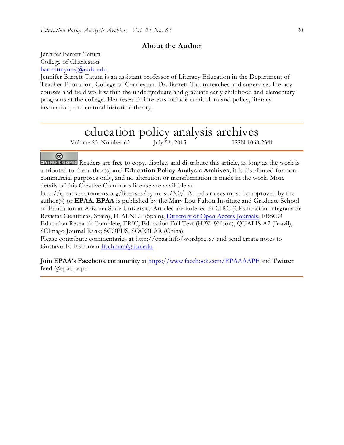## **About the Author**

Jennifer Barrett-Tatum College of Charleston barrettmynesj@cofc.edu

Jennifer Barrett-Tatum is an assistant professor of Literacy Education in the Department of Teacher Education, College of Charleston. Dr. Barrett-Tatum teaches and supervises literacy courses and field work within the undergraduate and graduate early childhood and elementary programs at the college. Her research interests include curriculum and policy, literacy instruction, and cultural historical theory.

# education policy analysis archives

Volume 23 Number 63 July 5<sup>th</sup>, 2015 ISSN 1068-2341

## ⊛

SOME RIGHTS RESERVED Readers are free to copy, display, and distribute this article, as long as the work is attributed to the author(s) and **Education Policy Analysis Archives,** it is distributed for noncommercial purposes only, and no alteration or transformation is made in the work. More details of this Creative Commons license are available at

http://creativecommons.org/licenses/by-nc-sa/3.0/. All other uses must be approved by the author(s) or **EPAA**. **EPAA** is published by the Mary Lou Fulton Institute and Graduate School of Education at Arizona State University Articles are indexed in CIRC (Clasificación Integrada de Revistas Científicas, Spain), DIALNET (Spain), Directory of Open Access Journals, EBSCO Education Research Complete, ERIC, Education Full Text (H.W. Wilson), QUALIS A2 (Brazil), SCImago Journal Rank; SCOPUS, SOCOLAR (China).

Please contribute commentaries at http://epaa.info/wordpress/ and send errata notes to Gustavo E. Fischman fischman@asu.edu

**Join EPAA's Facebook community** at https://www.facebook.com/EPAAAAPE and **Twitter feed** @epaa\_aape.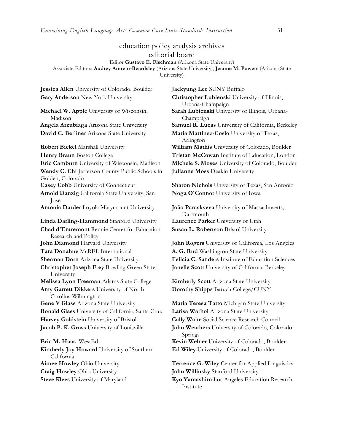## education policy analysis archives editorial board

Editor **Gustavo E. Fischman** (Arizona State University)

Associate Editors: **Audrey Amrein-Beardsley** (Arizona State University), **Jeanne M. Powers** (Arizona State University)

**Jessica Allen** University of Colorado, Boulder **Jaekyung Lee** SUNY Buffalo

**Michael W. Apple** University of Wisconsin, Madison **David C. Berliner** Arizona State University **Maria Martinez-Coslo** University of Texas, **Robert Bickel** Marshall University **William Mathis** University of Colorado, Boulder **Wendy C. Chi** Jefferson County Public Schools in Golden, Colorado **Arnold Danzig** California State University, San Jose **Antonia Darder** Loyola Marymount University **João Paraskveva** University of Massachusetts, **Linda Darling-Hammond** Stanford University **Laurence Parker** University of Utah **Chad d'Entremont** Rennie Center for Education Research and Policy **John Diamond** Harvard University **John Rogers** University of California, Los Angeles **Tara Donahue** McREL International **A. G. Rud** Washington State University **Christopher Joseph Frey** Bowling Green State University **Melissa Lynn Freeman** Adams State College **Kimberly Scott** Arizona State University **Amy Garrett Dikkers** University of North Carolina Wilmington **Gene V Glass** Arizona State University **Maria Teresa Tatto** Michigan State University **Ronald Glass** University of California, Santa Cruz **Larisa Warhol** Arizona State University **Harvey Goldstein** University of Bristol **Cally Waite** Social Science Research Council **Eric M. Haas** WestEd **Kevin Welner** University of Colorado, Boulder **Kimberly Joy Howard** University of Southern California **Aimee Howley** Ohio University **Terrence G. Wiley** Center for Applied Linguistics

Gary Anderson New York University **Christopher Lubienski** University of Illinois, Urbana-Champaign **Sarah Lubienski** University of Illinois, Urbana-Champaign **Angela Arzubiaga** Arizona State University **Samuel R. Lucas** University of California, Berkeley Arlington **Henry Braun** Boston College **Tristan McCowan** Institute of Education, London **Eric Camburn** University of Wisconsin, Madison **Michele S. Moses** University of Colorado, Boulder **Julianne Moss** Deakin University

**Casey Cobb** University of Connecticut **Sharon Nichols** University of Texas, San Antonio **Noga O'Connor** University of Iowa

> Dartmouth **Susan L. Robertson** Bristol University

**Sherman Dorn** Arizona State University **Felicia C. Sanders** Institute of Education Sciences **Janelle Scott** University of California, Berkeley

**Dorothy Shipps** Baruch College/CUNY

**Jacob P. K. Gross** University of Louisville **John Weathers** University of Colorado, Colorado Springs **Ed Wiley** University of Colorado, Boulder

**Craig Howley** Ohio University **John Willinsky** Stanford University

**Steve Klees** University of Maryland **Kyo Yamashiro** Los Angeles Education Research Institute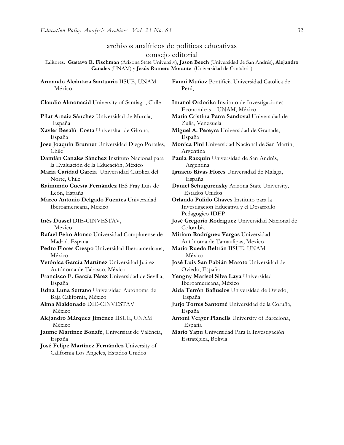## archivos analíticos de políticas educativas consejo editorial

Editores: **Gustavo E. Fischman** (Arizona State University), **Jason Beech** (Universidad de San Andrés), **Alejandro Canales** (UNAM) y **Jesús Romero Morante** (Universidad de Cantabria)

**Armando Alcántara Santuario** IISUE, UNAM México

**Claudio Almonacid** University of Santiago, Chile **Imanol Ordorika** Instituto de Investigaciones

**Pilar Arnaiz Sánchez** Universidad de Murcia, España

**Xavier Besalú Costa** Universitat de Girona, España

**Jose Joaquin Brunner** Universidad Diego Portales, Chile

**Damián Canales Sánchez** Instituto Nacional para la Evaluación de la Educación, México

**María Caridad García** Universidad Católica del Norte, Chile

**Raimundo Cuesta Fernández** IES Fray Luis de León, España

**Marco Antonio Delgado Fuentes** Universidad Iberoamericana, México

**Inés Dussel** DIE**-**CINVESTAV,

 Mexico **Rafael Feito Alonso** Universidad Complutense de Madrid. España

- **Pedro Flores Crespo** Universidad Iberoamericana, México
- **Verónica García Martínez** Universidad Juárez Autónoma de Tabasco, México

**Francisco F. García Pérez** Universidad de Sevilla, España

**Edna Luna Serrano** Universidad Autónoma de Baja California, México

**Alma Maldonado** DIE-CINVESTAV México

**Alejandro Márquez Jiménez** IISUE, UNAM México

**Jaume Martínez Bonafé**, Universitat de València, España

**José Felipe Martínez Fernández** University of California Los Angeles, Estados Unidos

**Fanni Muñoz** Pontificia Universidad Católica de Perú,

Economicas – UNAM, México

**Maria Cristina Parra Sandoval** Universidad de Zulia, Venezuela

**Miguel A. Pereyra** Universidad de Granada, España

**Monica Pini** Universidad Nacional de San Martín, Argentina

**Paula Razquin** Universidad de San Andrés, Argentina

**Ignacio Rivas Flores** Universidad de Málaga, España

**Daniel Schugurensky** Arizona State University, Estados Unidos

**Orlando Pulido Chaves** Instituto para la Investigacion Educativa y el Desarrollo Pedagogico IDEP

**José Gregorio Rodríguez** Universidad Nacional de Colombia

**Miriam Rodríguez Vargas** Universidad Autónoma de Tamaulipas, México

**Mario Rueda Beltrán** IISUE, UNAM México

**José Luis San Fabián Maroto** Universidad de Oviedo, España

**Yengny Marisol Silva Laya** Universidad Iberoamericana, México

**Aida Terrón Bañuelos** Universidad de Oviedo, España

**Jurjo Torres Santomé** Universidad de la Coruña, España

**Antoni Verger Planells** University of Barcelona, España

**Mario Yapu** Universidad Para la Investigación Estratégica, Bolivia